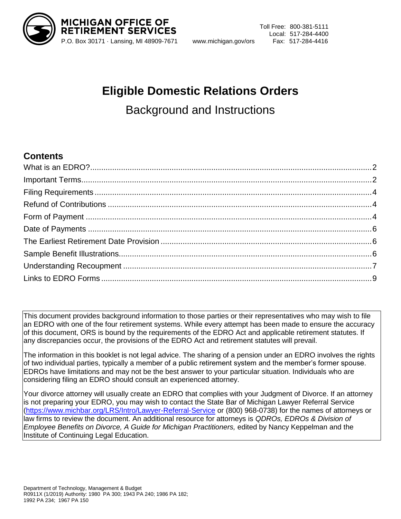

 Toll Free: 800-381-5111 Local: 517-284-4400

# **Eligible Domestic Relations Orders** Background and Instructions

### **Contents**

This document provides background information to those parties or their representatives who may wish to file an EDRO with one of the four retirement systems. While every attempt has been made to ensure the accuracy of this document, ORS is bound by the requirements of the EDRO Act and applicable retirement statutes. If any discrepancies occur, the provisions of the EDRO Act and retirement statutes will prevail.

The information in this booklet is not legal advice. The sharing of a pension under an EDRO involves the rights of two individual parties, typically a member of a public retirement system and the member's former spouse. EDROs have limitations and may not be the best answer to your particular situation. Individuals who are considering filing an EDRO should consult an experienced attorney.

Your divorce attorney will usually create an EDRO that complies with your Judgment of Divorce. If an attorney is not preparing your EDRO, you may wish to contact the State Bar of Michigan Lawyer Referral Service [\(https://www.michbar.org/LRS/Intro/Lawyer-Referral-Service](https://www.michbar.org/LRS/Intro/Lawyer-Referral-Service) or (800) 968-0738) for the names of attorneys or law firms to review the document. An additional resource for attorneys is *QDROs, EDROs & Division of Employee Benefits on Divorce, A Guide for Michigan Practitioners, edited by Nancy Keppelman and the* Institute of Continuing Legal Education.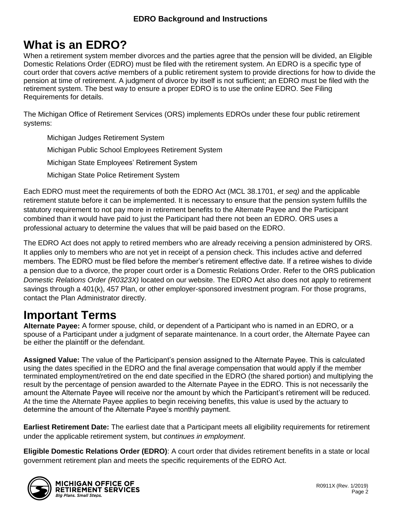# <span id="page-1-0"></span>**What is an EDRO?**

When a retirement system member divorces and the parties agree that the pension will be divided, an Eligible Domestic Relations Order (EDRO) must be filed with the retirement system. An EDRO is a specific type of court order that covers *active* members of a public retirement system to provide directions for how to divide the pension at time of retirement. A judgment of divorce by itself is not sufficient; an EDRO must be filed with the retirement system. The best way to ensure a proper EDRO is to use the online EDRO. See Filing Requirements for details.

The Michigan Office of Retirement Services (ORS) implements EDROs under these four public retirement systems:

Michigan Judges Retirement System Michigan Public School Employees Retirement System Michigan State Employees' Retirement System Michigan State Police Retirement System

Each EDRO must meet the requirements of both the EDRO Act (MCL 38.1701, *et seq)* and the applicable retirement statute before it can be implemented. It is necessary to ensure that the pension system fulfills the statutory requirement to not pay more in retirement benefits to the Alternate Payee and the Participant combined than it would have paid to just the Participant had there not been an EDRO. ORS uses a professional actuary to determine the values that will be paid based on the EDRO.

The EDRO Act does not apply to retired members who are already receiving a pension administered by ORS. It applies only to members who are not yet in receipt of a pension check. This includes active and deferred members. The EDRO must be filed before the member's retirement effective date. If a retiree wishes to divide a pension due to a divorce, the proper court order is a Domestic Relations Order. Refer to the ORS publication *Domestic Relations Order (R0323X)* located on our website. The EDRO Act also does not apply to retirement savings through a 401(k), 457 Plan, or other employer-sponsored investment program. For those programs, contact the Plan Administrator directly.

# <span id="page-1-1"></span>**Important Terms**

**Alternate Payee:** A former spouse, child, or dependent of a Participant who is named in an EDRO, or a spouse of a Participant under a judgment of separate maintenance. In a court order, the Alternate Payee can be either the plaintiff or the defendant.

**Assigned Value:** The value of the Participant's pension assigned to the Alternate Payee. This is calculated using the dates specified in the EDRO and the final average compensation that would apply if the member terminated employment/retired on the end date specified in the EDRO (the shared portion) and multiplying the result by the percentage of pension awarded to the Alternate Payee in the EDRO. This is not necessarily the amount the Alternate Payee will receive nor the amount by which the Participant's retirement will be reduced. At the time the Alternate Payee applies to begin receiving benefits, this value is used by the actuary to determine the amount of the Alternate Payee's monthly payment.

**Earliest Retirement Date:** The earliest date that a Participant meets all eligibility requirements for retirement under the applicable retirement system, but *continues in employment*.

**Eligible Domestic Relations Order (EDRO)**: A court order that divides retirement benefits in a state or local government retirement plan and meets the specific requirements of the EDRO Act.

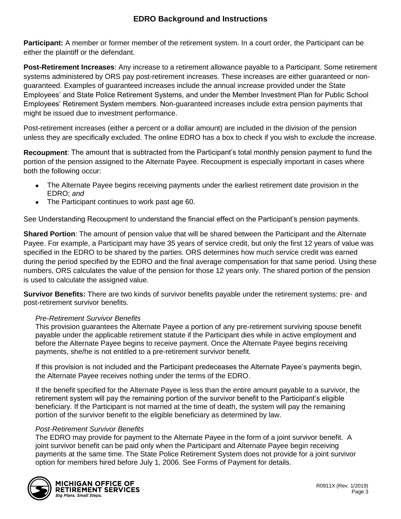**Participant:** A member or former member of the retirement system. In a court order, the Participant can be either the plaintiff or the defendant.

**Post-Retirement Increases**: Any increase to a retirement allowance payable to a Participant. Some retirement systems administered by ORS pay post-retirement increases. These increases are either guaranteed or nonguaranteed. Examples of guaranteed increases include the annual increase provided under the State Employees' and State Police Retirement Systems, and under the Member Investment Plan for Public School Employees' Retirement System members. Non-guaranteed increases include extra pension payments that might be issued due to investment performance.

Post-retirement increases (either a percent or a dollar amount) are included in the division of the pension unless they are specifically excluded. The online EDRO has a box to check if you wish to *exclude* the increase.

**Recoupment**: The amount that is subtracted from the Participant's total monthly pension payment to fund the portion of the pension assigned to the Alternate Payee. Recoupment is especially important in cases where both the following occur:

- The Alternate Payee begins receiving payments under the earliest retirement date provision in the EDRO; *and*
- The Participant continues to work past age 60.

See Understanding Recoupment to understand the financial effect on the Participant's pension payments.

**Shared Portion**: The amount of pension value that will be shared between the Participant and the Alternate Payee. For example, a Participant may have 35 years of service credit, but only the first 12 years of value was specified in the EDRO to be shared by the parties. ORS determines how much service credit was earned during the period specified by the EDRO and the final average compensation for that same period. Using these numbers, ORS calculates the value of the pension for those 12 years only. The shared portion of the pension is used to calculate the assigned value.

**Survivor Benefits:** There are two kinds of survivor benefits payable under the retirement systems: pre- and post-retirement survivor benefits.

#### *Pre-Retirement Survivor Benefits*

This provision guarantees the Alternate Payee a portion of any pre-retirement surviving spouse benefit payable under the applicable retirement statute if the Participant dies while in active employment and before the Alternate Payee begins to receive payment. Once the Alternate Payee begins receiving payments, she/he is not entitled to a pre-retirement survivor benefit.

If this provision is not included and the Participant predeceases the Alternate Payee's payments begin, the Alternate Payee receives nothing under the terms of the EDRO.

If the benefit specified for the Alternate Payee is less than the entire amount payable to a survivor, the retirement system will pay the remaining portion of the survivor benefit to the Participant's eligible beneficiary. If the Participant is not married at the time of death, the system will pay the remaining portion of the survivor benefit to the eligible beneficiary as determined by law.

#### *Post-Retirement Survivor Benefits*

The EDRO may provide for payment to the Alternate Payee in the form of a joint survivor benefit. A joint survivor benefit can be paid only when the Participant and Alternate Payee begin receiving payments at the same time. The State Police Retirement System does not provide for a joint survivor option for members hired before July 1, 2006. See Forms of Payment for details.

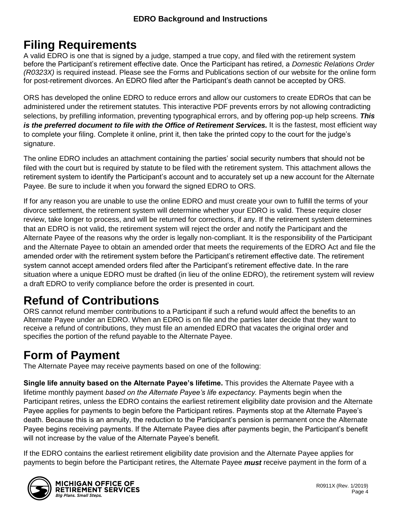# <span id="page-3-0"></span>**Filing Requirements**

A valid EDRO is one that is signed by a judge, stamped a true copy, and filed with the retirement system before the Participant's retirement effective date. Once the Participant has retired, a *Domestic Relations Order (R0323X)* is required instead. Please see the Forms and Publications section of our website for the online form for post-retirement divorces. An EDRO filed after the Participant's death cannot be accepted by ORS.

ORS has developed the online EDRO to reduce errors and allow our customers to create EDROs that can be administered under the retirement statutes. This interactive PDF prevents errors by not allowing contradicting selections, by prefilling information, preventing typographical errors, and by offering pop-up help screens. *This is the preferred document to file with the Office of Retirement Services.* It is the fastest, most efficient way to complete your filing. Complete it online, print it, then take the printed copy to the court for the judge's signature.

The online EDRO includes an attachment containing the parties' social security numbers that should not be filed with the court but is required by statute to be filed with the retirement system. This attachment allows the retirement system to identify the Participant's account and to accurately set up a new account for the Alternate Payee. Be sure to include it when you forward the signed EDRO to ORS.

If for any reason you are unable to use the online EDRO and must create your own to fulfill the terms of your divorce settlement, the retirement system will determine whether your EDRO is valid. These require closer review, take longer to process, and will be returned for corrections, if any. If the retirement system determines that an EDRO is not valid, the retirement system will reject the order and notify the Participant and the Alternate Payee of the reasons why the order is legally non-compliant. It is the responsibility of the Participant and the Alternate Payee to obtain an amended order that meets the requirements of the EDRO Act and file the amended order with the retirement system before the Participant's retirement effective date. The retirement system cannot accept amended orders filed after the Participant's retirement effective date. In the rare situation where a unique EDRO must be drafted (in lieu of the online EDRO), the retirement system will review a draft EDRO to verify compliance before the order is presented in court.

# <span id="page-3-1"></span>**Refund of Contributions**

ORS cannot refund member contributions to a Participant if such a refund would affect the benefits to an Alternate Payee under an EDRO. When an EDRO is on file and the parties later decide that they want to receive a refund of contributions, they must file an amended EDRO that vacates the original order and specifies the portion of the refund payable to the Alternate Payee.

# <span id="page-3-2"></span>**Form of Payment**

The Alternate Payee may receive payments based on one of the following:

**Single life annuity based on the Alternate Payee's lifetime.** This provides the Alternate Payee with a lifetime monthly payment *based on the Alternate Payee's life expectancy.* Payments begin when the Participant retires, unless the EDRO contains the earliest retirement eligibility date provision and the Alternate Payee applies for payments to begin before the Participant retires. Payments stop at the Alternate Payee's death. Because this is an annuity, the reduction to the Participant's pension is permanent once the Alternate Payee begins receiving payments. If the Alternate Payee dies after payments begin, the Participant's benefit will not increase by the value of the Alternate Payee's benefit.

If the EDRO contains the earliest retirement eligibility date provision and the Alternate Payee applies for payments to begin before the Participant retires, the Alternate Payee *must* receive payment in the form of a



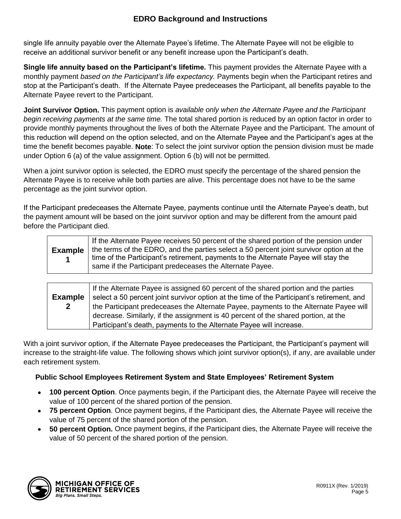single life annuity payable over the Alternate Payee's lifetime. The Alternate Payee will not be eligible to receive an additional survivor benefit or any benefit increase upon the Participant's death.

**Single life annuity based on the Participant's lifetime.** This payment provides the Alternate Payee with a monthly payment *based on the Participant's life expectancy.* Payments begin when the Participant retires and stop at the Participant's death. If the Alternate Payee predeceases the Participant, all benefits payable to the Alternate Payee revert to the Participant.

**Joint Survivor Option.** This payment option is *available only when the Alternate Payee and the Participant begin receiving payments at the same time.* The total shared portion is reduced by an option factor in order to provide monthly payments throughout the lives of both the Alternate Payee and the Participant. The amount of this reduction will depend on the option selected, and on the Alternate Payee and the Participant's ages at the time the benefit becomes payable. **Note**: To select the joint survivor option the pension division must be made under Option 6 (a) of the value assignment. Option 6 (b) will not be permitted.

When a joint survivor option is selected, the EDRO must specify the percentage of the shared pension the Alternate Payee is to receive while both parties are alive. This percentage does not have to be the same percentage as the joint survivor option.

If the Participant predeceases the Alternate Payee, payments continue until the Alternate Payee's death, but the payment amount will be based on the joint survivor option and may be different from the amount paid before the Participant died.

| <b>Example</b> | If the Alternate Payee receives 50 percent of the shared portion of the pension under<br>the terms of the EDRO, and the parties select a 50 percent joint survivor option at the<br>time of the Participant's retirement, payments to the Alternate Payee will stay the<br>same if the Participant predeceases the Alternate Payee. |
|----------------|-------------------------------------------------------------------------------------------------------------------------------------------------------------------------------------------------------------------------------------------------------------------------------------------------------------------------------------|
|----------------|-------------------------------------------------------------------------------------------------------------------------------------------------------------------------------------------------------------------------------------------------------------------------------------------------------------------------------------|

|                | If the Alternate Payee is assigned 60 percent of the shared portion and the parties        |
|----------------|--------------------------------------------------------------------------------------------|
| <b>Example</b> | select a 50 percent joint survivor option at the time of the Participant's retirement, and |
| $\mathbf{2}$   | the Participant predeceases the Alternate Payee, payments to the Alternate Payee will      |
|                | decrease. Similarly, if the assignment is 40 percent of the shared portion, at the         |
|                | Participant's death, payments to the Alternate Payee will increase.                        |

With a joint survivor option, if the Alternate Payee predeceases the Participant, the Participant's payment will increase to the straight-life value. The following shows which joint survivor option(s), if any, are available under each retirement system.

#### **Public School Employees Retirement System and State Employees' Retirement System**

- **100 percent Option**. Once payments begin, if the Participant dies, the Alternate Payee will receive the value of 100 percent of the shared portion of the pension.
- **75 percent Option**. Once payment begins, if the Participant dies, the Alternate Payee will receive the value of 75 percent of the shared portion of the pension.
- **50 percent Option.** Once payment begins, if the Participant dies, the Alternate Payee will receive the value of 50 percent of the shared portion of the pension.

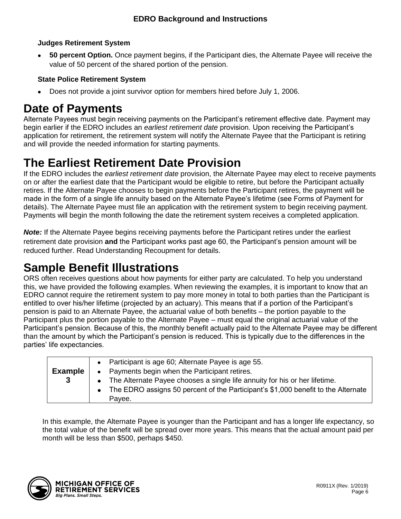#### **Judges Retirement System**

• **50 percent Option.** Once payment begins, if the Participant dies, the Alternate Payee will receive the value of 50 percent of the shared portion of the pension.

#### **State Police Retirement System**

• Does not provide a joint survivor option for members hired before July 1, 2006.

## <span id="page-5-0"></span>**Date of Payments**

Alternate Payees must begin receiving payments on the Participant's retirement effective date. Payment may begin earlier if the EDRO includes an *earliest retirement date* provision. Upon receiving the Participant's application for retirement, the retirement system will notify the Alternate Payee that the Participant is retiring and will provide the needed information for starting payments.

# <span id="page-5-1"></span>**The Earliest Retirement Date Provision**

If the EDRO includes the *earliest retirement date* provision, the Alternate Payee may elect to receive payments on or after the earliest date that the Participant would be eligible to retire, but before the Participant actually retires. If the Alternate Payee chooses to begin payments before the Participant retires, the payment will be made in the form of a single life annuity based on the Alternate Payee's lifetime (see Forms of Payment for details). The Alternate Payee must file an application with the retirement system to begin receiving payment. Payments will begin the month following the date the retirement system receives a completed application.

*Note:* If the Alternate Payee begins receiving payments before the Participant retires under the earliest retirement date provision **and** the Participant works past age 60, the Participant's pension amount will be reduced further. Read Understanding Recoupment for details.

# <span id="page-5-2"></span>**Sample Benefit Illustrations**

ORS often receives questions about how payments for either party are calculated. To help you understand this, we have provided the following examples. When reviewing the examples, it is important to know that an EDRO cannot require the retirement system to pay more money in total to both parties than the Participant is entitled to over his/her lifetime (projected by an actuary). This means that if a portion of the Participant's pension is paid to an Alternate Payee, the actuarial value of both benefits – the portion payable to the Participant plus the portion payable to the Alternate Payee – must equal the original actuarial value of the Participant's pension. Because of this, the monthly benefit actually paid to the Alternate Payee may be different than the amount by which the Participant's pension is reduced. This is typically due to the differences in the parties' life expectancies.

| <b>Example</b><br>3 | • Participant is age 60; Alternate Payee is age 55.<br>• Payments begin when the Participant retires.<br>• The Alternate Payee chooses a single life annuity for his or her lifetime.<br>• The EDRO assigns 50 percent of the Participant's \$1,000 benefit to the Alternate<br>Pavee. |
|---------------------|----------------------------------------------------------------------------------------------------------------------------------------------------------------------------------------------------------------------------------------------------------------------------------------|
|---------------------|----------------------------------------------------------------------------------------------------------------------------------------------------------------------------------------------------------------------------------------------------------------------------------------|

In this example, the Alternate Payee is younger than the Participant and has a longer life expectancy, so the total value of the benefit will be spread over more years. This means that the actual amount paid per month will be less than \$500, perhaps \$450.

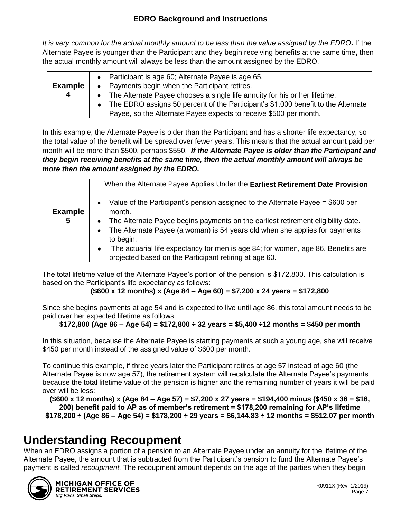*It is very common for the actual monthly amount to be less than the value assigned by the EDRO.* If the Alternate Payee is younger than the Participant and they begin receiving benefits at the same time**,** then the actual monthly amount will always be less than the amount assigned by the EDRO.

| <b>Example</b> | Participant is age 60; Alternate Payee is age 65.<br>Payments begin when the Participant retires.<br>$\bullet$ |
|----------------|----------------------------------------------------------------------------------------------------------------|
| 4              | The Alternate Payee chooses a single life annuity for his or her lifetime.                                     |
|                | The EDRO assigns 50 percent of the Participant's \$1,000 benefit to the Alternate                              |
|                | Payee, so the Alternate Payee expects to receive \$500 per month.                                              |

In this example, the Alternate Payee is older than the Participant and has a shorter life expectancy, so the total value of the benefit will be spread over fewer years. This means that the actual amount paid per month will be more than \$500, perhaps \$550. *If the Alternate Payee is older than the Participant and they begin receiving benefits at the same time, then the actual monthly amount will always be more than the amount assigned by the EDRO.*

|                     | When the Alternate Payee Applies Under the Earliest Retirement Date Provision                                                                                                                                                                                                                                    |
|---------------------|------------------------------------------------------------------------------------------------------------------------------------------------------------------------------------------------------------------------------------------------------------------------------------------------------------------|
| <b>Example</b><br>5 | Value of the Participant's pension assigned to the Alternate Payee $= $600$ per<br>$\bullet$<br>month.<br>The Alternate Payee begins payments on the earliest retirement eligibility date.<br>$\bullet$<br>The Alternate Payee (a woman) is 54 years old when she applies for payments<br>$\bullet$<br>to begin. |
|                     | The actuarial life expectancy for men is age 84; for women, age 86. Benefits are<br>$\bullet$                                                                                                                                                                                                                    |
|                     | projected based on the Participant retiring at age 60.                                                                                                                                                                                                                                                           |

The total lifetime value of the Alternate Payee's portion of the pension is \$172,800. This calculation is based on the Participant's life expectancy as follows:

**(\$600 x 12 months) x (Age 84 – Age 60) = \$7,200 x 24 years = \$172,800**

Since she begins payments at age 54 and is expected to live until age 86, this total amount needs to be paid over her expected lifetime as follows:

### **\$172,800 (Age 86 – Age 54) = \$172,800 ÷ 32 years = \$5,400 ÷12 months = \$450 per month**

In this situation, because the Alternate Payee is starting payments at such a young age, she will receive \$450 per month instead of the assigned value of \$600 per month.

To continue this example, if three years later the Participant retires at age 57 instead of age 60 (the Alternate Payee is now age 57), the retirement system will recalculate the Alternate Payee's payments because the total lifetime value of the pension is higher and the remaining number of years it will be paid over will be less:

**(\$600 x 12 months) x (Age 84 – Age 57) = \$7,200 x 27 years = \$194,400 minus (\$450 x 36 = \$16, 200) benefit paid to AP as of member's retirement = \$178,200 remaining for AP's lifetime \$178,200 ÷ (Age 86 – Age 54) = \$178,200 ÷ 29 years = \$6,144.83 ÷ 12 months = \$512.07 per month**

## <span id="page-6-0"></span>**Understanding Recoupment**

When an EDRO assigns a portion of a pension to an Alternate Payee under an annuity for the lifetime of the Alternate Payee, the amount that is subtracted from the Participant's pension to fund the Alternate Payee's payment is called *recoupment.* The recoupment amount depends on the age of the parties when they begin



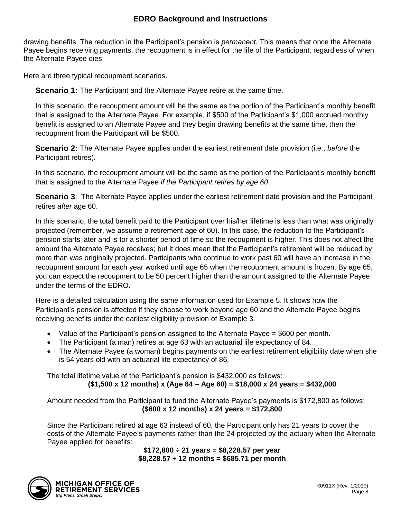drawing benefits. The reduction in the Participant's pension is *permanent.* This means that once the Alternate Payee begins receiving payments, the recoupment is in effect for the life of the Participant, regardless of when the Alternate Payee dies.

Here are three typical recoupment scenarios.

**Scenario 1:** The Participant and the Alternate Payee retire at the same time.

In this scenario, the recoupment amount will be the same as the portion of the Participant's monthly benefit that is assigned to the Alternate Payee. For example, if \$500 of the Participant's \$1,000 accrued monthly benefit is assigned to an Alternate Payee and they begin drawing benefits at the same time, then the recoupment from the Participant will be \$500.

**Scenario 2:** The Alternate Payee applies under the earliest retirement date provision (i.e., *before* the Participant retires).

In this scenario, the recoupment amount will be the same as the portion of the Participant's monthly benefit that is assigned to the Alternate Payee *if the Participant retires by age 60*.

**Scenario 3**: The Alternate Payee applies under the earliest retirement date provision and the Participant retires *after* age 60.

In this scenario, the total benefit paid to the Participant over his/her lifetime is less than what was originally projected (remember, we assume a retirement age of 60). In this case, the reduction to the Participant's pension starts later and is for a shorter period of time so the recoupment is higher. This does not affect the amount the Alternate Payee receives; but it does mean that the Participant's retirement will be reduced by more than was originally projected. Participants who continue to work past 60 will have an increase in the recoupment amount for each year worked until age 65 when the recoupment amount is frozen. By age 65, you can expect the recoupment to be 50 percent higher than the amount assigned to the Alternate Payee under the terms of the EDRO.

Here is a detailed calculation using the same information used for Example 5. It shows how the Participant's pension is affected if they choose to work beyond age 60 and the Alternate Payee begins receiving benefits under the earliest eligibility provision of Example 3.

- Value of the Participant's pension assigned to the Alternate Payee  $= $600$  per month.
- The Participant (a man) retires at age 63 with an actuarial life expectancy of 84.
- The Alternate Payee (a woman) begins payments on the earliest retirement eligibility date when she is 54 years old with an actuarial life expectancy of 86.

The total lifetime value of the Participant's pension is \$432,000 as follows: **(\$1,500 x 12 months) x (Age 84 – Age 60) = \$18,000 x 24 years = \$432,000**

Amount needed from the Participant to fund the Alternate Payee's payments is \$172,800 as follows: **(\$600 x 12 months) x 24 years = \$172,800**

Since the Participant retired at age 63 instead of 60, the Participant only has 21 years to cover the costs of the Alternate Payee's payments rather than the 24 projected by the actuary when the Alternate Payee applied for benefits:

**\$172,800 ÷ 21 years = \$8,228.57 per year \$8,228.57 ÷ 12 months = \$685.71 per month**